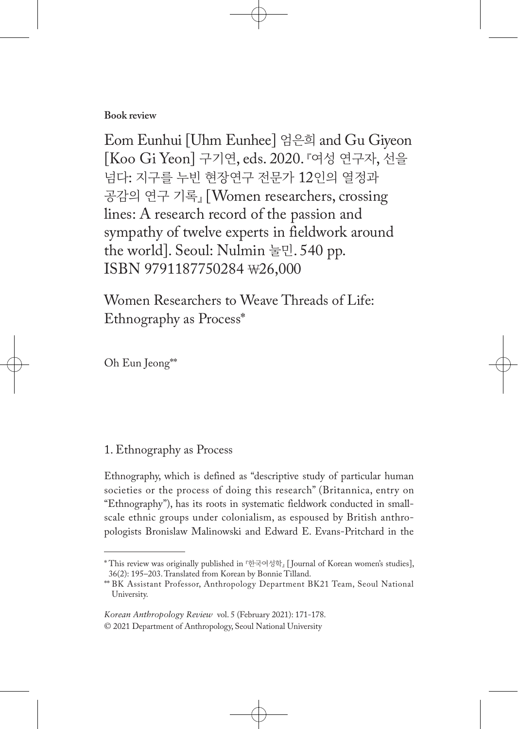#### **Book review**

Eom Eunhui [Uhm Eunhee] 엄은희 and Gu Giyeon [Koo Gi Yeon] 구기연, eds. 2020. 『여성 연구자, 선을 넘다: 지구를 누빈 현장연구 전문가 12인의 열정과 공감의 연구 기록』 [Women researchers, crossing lines: A research record of the passion and sympathy of twelve experts in fieldwork around the world]. Seoul: Nulmin 눌민. 540 pp. ISBN 9791187750284 ₩26,000

Women Researchers to Weave Threads of Life: Ethnography as Process\*

Oh Eun Jeong\*\*

# 1. Ethnography as Process

Ethnography, which is defined as "descriptive study of particular human societies or the process of doing this research" (Britannica, entry on "Ethnography"), has its roots in systematic fieldwork conducted in smallscale ethnic groups under colonialism, as espoused by British anthropologists Bronislaw Malinowski and Edward E. Evans-Pritchard in the

<sup>\*</sup> This review was originally published in 『한국여성학』 [ Journal of Korean women's studies], 36(2): 195–203. Translated from Korean by Bonnie Tilland.

<sup>\*\*</sup> BK Assistant Professor, Anthropology Department BK21 Team, Seoul National University.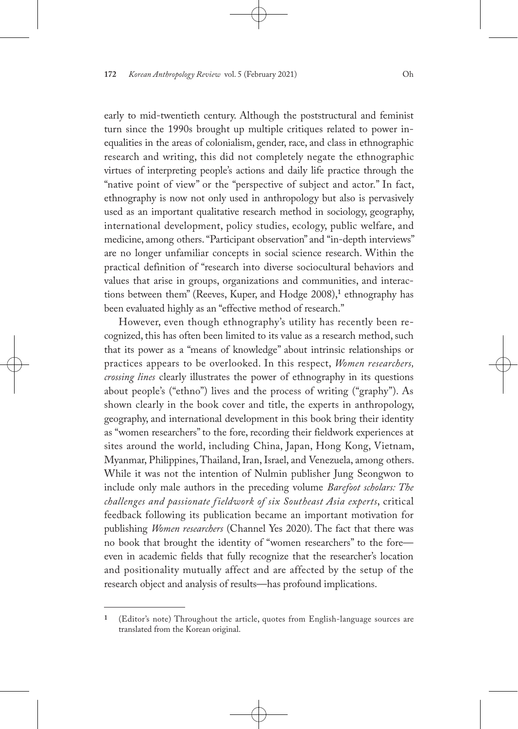early to mid-twentieth century. Although the poststructural and feminist turn since the 1990s brought up multiple critiques related to power inequalities in the areas of colonialism, gender, race, and class in ethnographic research and writing, this did not completely negate the ethnographic virtues of interpreting people's actions and daily life practice through the "native point of view" or the "perspective of subject and actor." In fact, ethnography is now not only used in anthropology but also is pervasively used as an important qualitative research method in sociology, geography, international development, policy studies, ecology, public welfare, and medicine, among others. "Participant observation" and "in-depth interviews" are no longer unfamiliar concepts in social science research. Within the practical definition of "research into diverse sociocultural behaviors and values that arise in groups, organizations and communities, and interactions between them" (Reeves, Kuper, and Hodge 2008),**<sup>1</sup>** ethnography has been evaluated highly as an "effective method of research."

However, even though ethnography's utility has recently been recognized, this has often been limited to its value as a research method, such that its power as a "means of knowledge" about intrinsic relationships or practices appears to be overlooked. In this respect, *Women researchers, crossing lines* clearly illustrates the power of ethnography in its questions about people's ("ethno") lives and the process of writing ("graphy"). As shown clearly in the book cover and title, the experts in anthropology, geography, and international development in this book bring their identity as "women researchers" to the fore, recording their fieldwork experiences at sites around the world, including China, Japan, Hong Kong, Vietnam, Myanmar, Philippines, Thailand, Iran, Israel, and Venezuela, among others. While it was not the intention of Nulmin publisher Jung Seongwon to include only male authors in the preceding volume *Barefoot scholars: The challenges and passionate f ieldwork of six Southeast Asia experts*, critical feedback following its publication became an important motivation for publishing *Women researchers* (Channel Yes 2020). The fact that there was no book that brought the identity of "women researchers" to the fore even in academic fields that fully recognize that the researcher's location and positionality mutually affect and are affected by the setup of the research object and analysis of results—has profound implications.

**<sup>1</sup>** (Editor's note) Throughout the article, quotes from English-language sources are translated from the Korean original.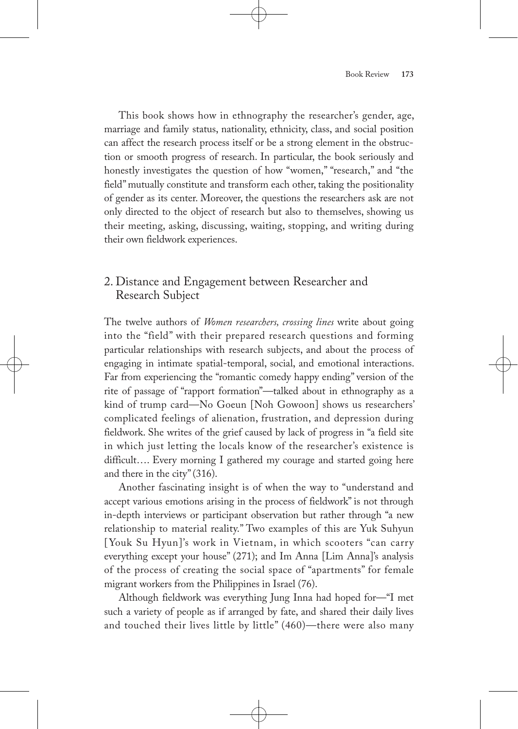This book shows how in ethnography the researcher's gender, age, marriage and family status, nationality, ethnicity, class, and social position can affect the research process itself or be a strong element in the obstruction or smooth progress of research. In particular, the book seriously and honestly investigates the question of how "women," "research," and "the field" mutually constitute and transform each other, taking the positionality of gender as its center. Moreover, the questions the researchers ask are not only directed to the object of research but also to themselves, showing us their meeting, asking, discussing, waiting, stopping, and writing during their own fieldwork experiences.

## 2. Distance and Engagement between Researcher and Research Subject

The twelve authors of *Women researchers, crossing lines* write about going into the "field" with their prepared research questions and forming particular relationships with research subjects, and about the process of engaging in intimate spatial-temporal, social, and emotional interactions. Far from experiencing the "romantic comedy happy ending" version of the rite of passage of "rapport formation"—talked about in ethnography as a kind of trump card—No Goeun [Noh Gowoon] shows us researchers' complicated feelings of alienation, frustration, and depression during fieldwork. She writes of the grief caused by lack of progress in "a field site in which just letting the locals know of the researcher's existence is difficult…. Every morning I gathered my courage and started going here and there in the city" (316).

Another fascinating insight is of when the way to "understand and accept various emotions arising in the process of fieldwork" is not through in-depth interviews or participant observation but rather through "a new relationship to material reality." Two examples of this are Yuk Suhyun [Youk Su Hyun]'s work in Vietnam, in which scooters "can carry everything except your house" (271); and Im Anna [Lim Anna]'s analysis of the process of creating the social space of "apartments" for female migrant workers from the Philippines in Israel (76).

Although fieldwork was everything Jung Inna had hoped for—"I met such a variety of people as if arranged by fate, and shared their daily lives and touched their lives little by little" (460)—there were also many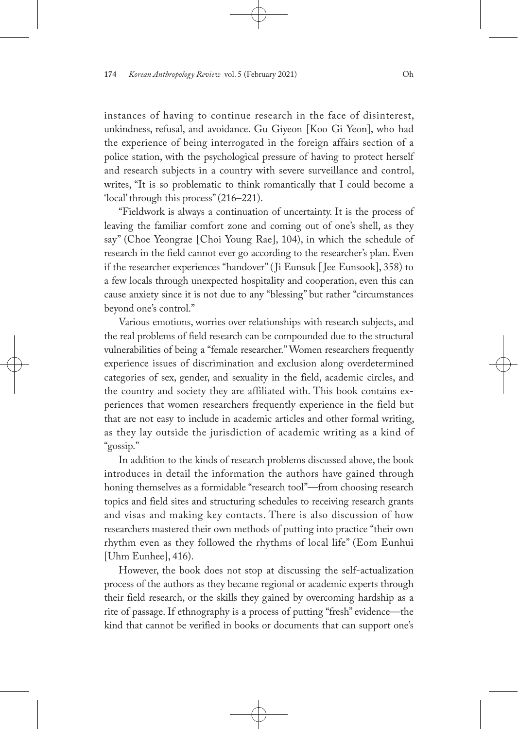instances of having to continue research in the face of disinterest, unkindness, refusal, and avoidance. Gu Giyeon [Koo Gi Yeon], who had the experience of being interrogated in the foreign affairs section of a police station, with the psychological pressure of having to protect herself and research subjects in a country with severe surveillance and control, writes, "It is so problematic to think romantically that I could become a 'local' through this process" (216–221).

"Fieldwork is always a continuation of uncertainty. It is the process of leaving the familiar comfort zone and coming out of one's shell, as they say" (Choe Yeongrae [Choi Young Rae], 104), in which the schedule of research in the field cannot ever go according to the researcher's plan. Even if the researcher experiences "handover" ( Ji Eunsuk [ Jee Eunsook], 358) to a few locals through unexpected hospitality and cooperation, even this can cause anxiety since it is not due to any "blessing" but rather "circumstances beyond one's control."

Various emotions, worries over relationships with research subjects, and the real problems of field research can be compounded due to the structural vulnerabilities of being a "female researcher." Women researchers frequently experience issues of discrimination and exclusion along overdetermined categories of sex, gender, and sexuality in the field, academic circles, and the country and society they are affiliated with. This book contains experiences that women researchers frequently experience in the field but that are not easy to include in academic articles and other formal writing, as they lay outside the jurisdiction of academic writing as a kind of "gossip."

In addition to the kinds of research problems discussed above, the book introduces in detail the information the authors have gained through honing themselves as a formidable "research tool"—from choosing research topics and field sites and structuring schedules to receiving research grants and visas and making key contacts. There is also discussion of how researchers mastered their own methods of putting into practice "their own rhythm even as they followed the rhythms of local life" (Eom Eunhui [Uhm Eunhee], 416).

However, the book does not stop at discussing the self-actualization process of the authors as they became regional or academic experts through their field research, or the skills they gained by overcoming hardship as a rite of passage. If ethnography is a process of putting "fresh" evidence—the kind that cannot be verified in books or documents that can support one's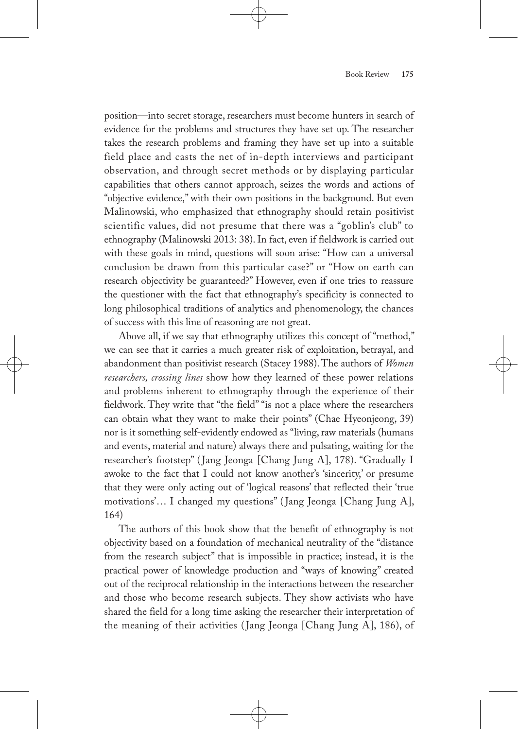position—into secret storage, researchers must become hunters in search of evidence for the problems and structures they have set up. The researcher takes the research problems and framing they have set up into a suitable field place and casts the net of in-depth interviews and participant observation, and through secret methods or by displaying particular capabilities that others cannot approach, seizes the words and actions of "objective evidence," with their own positions in the background. But even Malinowski, who emphasized that ethnography should retain positivist scientific values, did not presume that there was a "goblin's club" to ethnography (Malinowski 2013: 38). In fact, even if fieldwork is carried out with these goals in mind, questions will soon arise: "How can a universal conclusion be drawn from this particular case?" or "How on earth can research objectivity be guaranteed?" However, even if one tries to reassure the questioner with the fact that ethnography's specificity is connected to long philosophical traditions of analytics and phenomenology, the chances of success with this line of reasoning are not great.

Above all, if we say that ethnography utilizes this concept of "method," we can see that it carries a much greater risk of exploitation, betrayal, and abandonment than positivist research (Stacey 1988). The authors of *Women researchers, crossing lines* show how they learned of these power relations and problems inherent to ethnography through the experience of their fieldwork. They write that "the field" "is not a place where the researchers can obtain what they want to make their points" (Chae Hyeonjeong, 39) nor is it something self-evidently endowed as "living, raw materials (humans and events, material and nature) always there and pulsating, waiting for the researcher's footstep" ( Jang Jeonga [Chang Jung A], 178). "Gradually I awoke to the fact that I could not know another's 'sincerity,' or presume that they were only acting out of 'logical reasons' that reflected their 'true motivations'… I changed my questions" ( Jang Jeonga [Chang Jung A], 164)

The authors of this book show that the benefit of ethnography is not objectivity based on a foundation of mechanical neutrality of the "distance from the research subject" that is impossible in practice; instead, it is the practical power of knowledge production and "ways of knowing" created out of the reciprocal relationship in the interactions between the researcher and those who become research subjects. They show activists who have shared the field for a long time asking the researcher their interpretation of the meaning of their activities ( Jang Jeonga [Chang Jung A], 186), of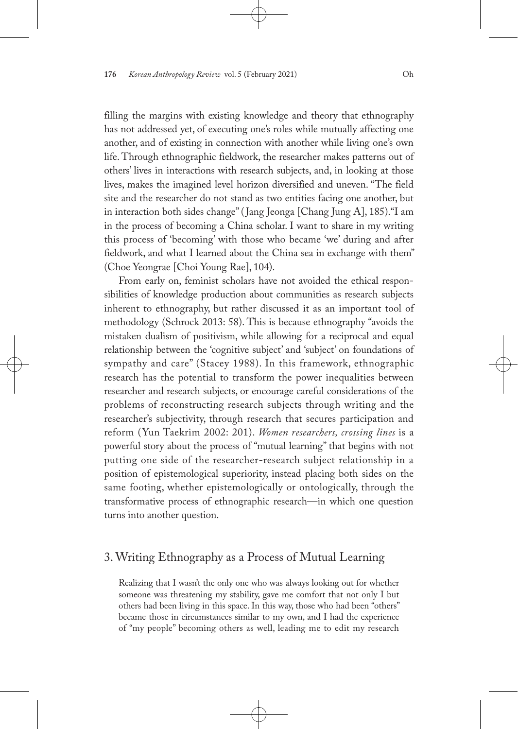filling the margins with existing knowledge and theory that ethnography has not addressed yet, of executing one's roles while mutually affecting one another, and of existing in connection with another while living one's own life. Through ethnographic fieldwork, the researcher makes patterns out of others' lives in interactions with research subjects, and, in looking at those lives, makes the imagined level horizon diversified and uneven. "The field site and the researcher do not stand as two entities facing one another, but in interaction both sides change" ( Jang Jeonga [Chang Jung A], 185)."I am in the process of becoming a China scholar. I want to share in my writing this process of 'becoming' with those who became 'we' during and after fieldwork, and what I learned about the China sea in exchange with them" (Choe Yeongrae [Choi Young Rae], 104).

From early on, feminist scholars have not avoided the ethical responsibilities of knowledge production about communities as research subjects inherent to ethnography, but rather discussed it as an important tool of methodology (Schrock 2013: 58). This is because ethnography "avoids the mistaken dualism of positivism, while allowing for a reciprocal and equal relationship between the 'cognitive subject' and 'subject' on foundations of sympathy and care" (Stacey 1988). In this framework, ethnographic research has the potential to transform the power inequalities between researcher and research subjects, or encourage careful considerations of the problems of reconstructing research subjects through writing and the researcher's subjectivity, through research that secures participation and reform (Yun Taekrim 2002: 201). *Women researchers, crossing lines* is a powerful story about the process of "mutual learning" that begins with not putting one side of the researcher-research subject relationship in a position of epistemological superiority, instead placing both sides on the same footing, whether epistemologically or ontologically, through the transformative process of ethnographic research—in which one question turns into another question.

### 3. Writing Ethnography as a Process of Mutual Learning

Realizing that I wasn't the only one who was always looking out for whether someone was threatening my stability, gave me comfort that not only I but others had been living in this space. In this way, those who had been "others" became those in circumstances similar to my own, and I had the experience of "my people" becoming others as well, leading me to edit my research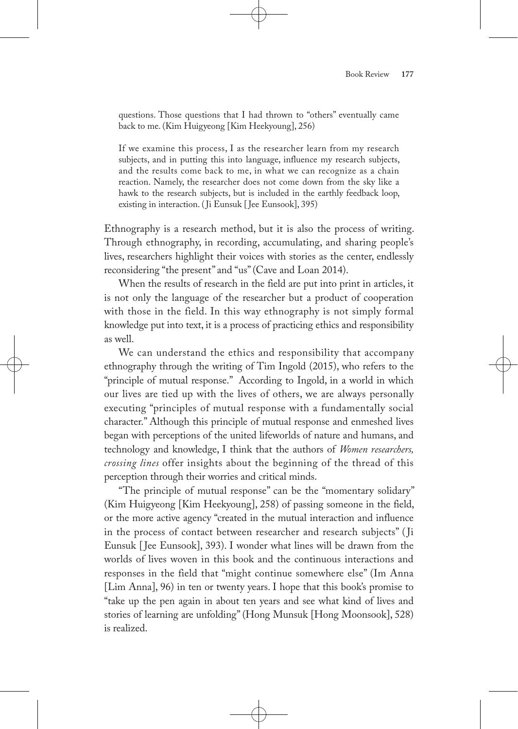questions. Those questions that I had thrown to "others" eventually came back to me. (Kim Huigyeong [Kim Heekyoung], 256)

If we examine this process, I as the researcher learn from my research subjects, and in putting this into language, influence my research subjects, and the results come back to me, in what we can recognize as a chain reaction. Namely, the researcher does not come down from the sky like a hawk to the research subjects, but is included in the earthly feedback loop, existing in interaction. ( Ji Eunsuk [ Jee Eunsook], 395)

Ethnography is a research method, but it is also the process of writing. Through ethnography, in recording, accumulating, and sharing people's lives, researchers highlight their voices with stories as the center, endlessly reconsidering "the present" and "us" (Cave and Loan 2014).

When the results of research in the field are put into print in articles, it is not only the language of the researcher but a product of cooperation with those in the field. In this way ethnography is not simply formal knowledge put into text, it is a process of practicing ethics and responsibility as well.

We can understand the ethics and responsibility that accompany ethnography through the writing of Tim Ingold (2015), who refers to the "principle of mutual response." According to Ingold, in a world in which our lives are tied up with the lives of others, we are always personally executing "principles of mutual response with a fundamentally social character." Although this principle of mutual response and enmeshed lives began with perceptions of the united lifeworlds of nature and humans, and technology and knowledge, I think that the authors of *Women researchers, crossing lines* offer insights about the beginning of the thread of this perception through their worries and critical minds.

"The principle of mutual response" can be the "momentary solidary" (Kim Huigyeong [Kim Heekyoung], 258) of passing someone in the field, or the more active agency "created in the mutual interaction and influence in the process of contact between researcher and research subjects" ( Ji Eunsuk [ Jee Eunsook], 393). I wonder what lines will be drawn from the worlds of lives woven in this book and the continuous interactions and responses in the field that "might continue somewhere else" (Im Anna [Lim Anna], 96) in ten or twenty years. I hope that this book's promise to "take up the pen again in about ten years and see what kind of lives and stories of learning are unfolding" (Hong Munsuk [Hong Moonsook], 528) is realized.